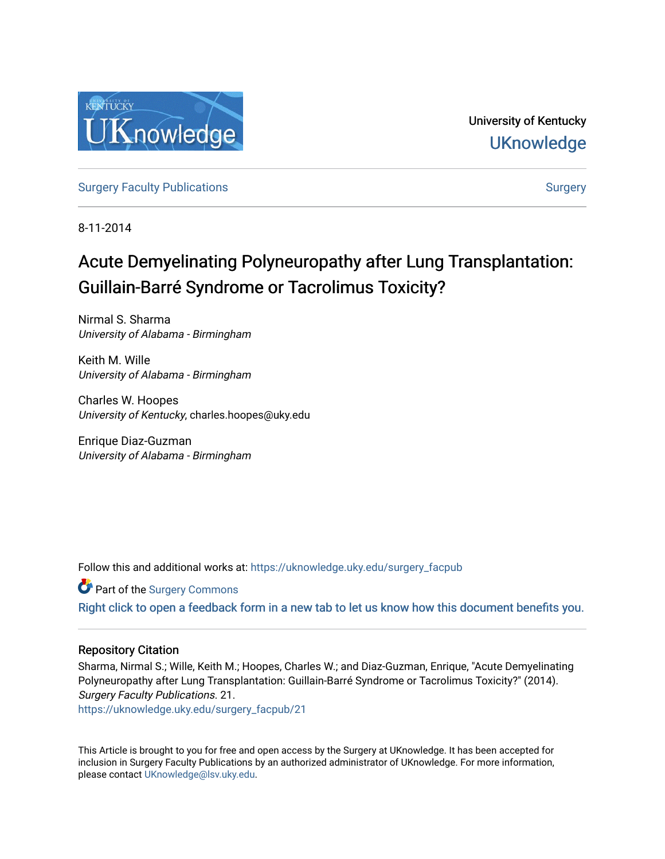

University of Kentucky **UKnowledge** 

[Surgery Faculty Publications](https://uknowledge.uky.edu/surgery_facpub) **[Surgery](https://uknowledge.uky.edu/surgery) Surgery** Surgery Surgery

8-11-2014

# Acute Demyelinating Polyneuropathy after Lung Transplantation: Guillain-Barré Syndrome or Tacrolimus Toxicity?

Nirmal S. Sharma University of Alabama - Birmingham

Keith M. Wille University of Alabama - Birmingham

Charles W. Hoopes University of Kentucky, charles.hoopes@uky.edu

Enrique Diaz-Guzman University of Alabama - Birmingham

Follow this and additional works at: [https://uknowledge.uky.edu/surgery\\_facpub](https://uknowledge.uky.edu/surgery_facpub?utm_source=uknowledge.uky.edu%2Fsurgery_facpub%2F21&utm_medium=PDF&utm_campaign=PDFCoverPages) 

Part of the [Surgery Commons](http://network.bepress.com/hgg/discipline/706?utm_source=uknowledge.uky.edu%2Fsurgery_facpub%2F21&utm_medium=PDF&utm_campaign=PDFCoverPages) 

[Right click to open a feedback form in a new tab to let us know how this document benefits you.](https://uky.az1.qualtrics.com/jfe/form/SV_9mq8fx2GnONRfz7)

### Repository Citation

Sharma, Nirmal S.; Wille, Keith M.; Hoopes, Charles W.; and Diaz-Guzman, Enrique, "Acute Demyelinating Polyneuropathy after Lung Transplantation: Guillain-Barré Syndrome or Tacrolimus Toxicity?" (2014). Surgery Faculty Publications. 21.

[https://uknowledge.uky.edu/surgery\\_facpub/21](https://uknowledge.uky.edu/surgery_facpub/21?utm_source=uknowledge.uky.edu%2Fsurgery_facpub%2F21&utm_medium=PDF&utm_campaign=PDFCoverPages)

This Article is brought to you for free and open access by the Surgery at UKnowledge. It has been accepted for inclusion in Surgery Faculty Publications by an authorized administrator of UKnowledge. For more information, please contact [UKnowledge@lsv.uky.edu.](mailto:UKnowledge@lsv.uky.edu)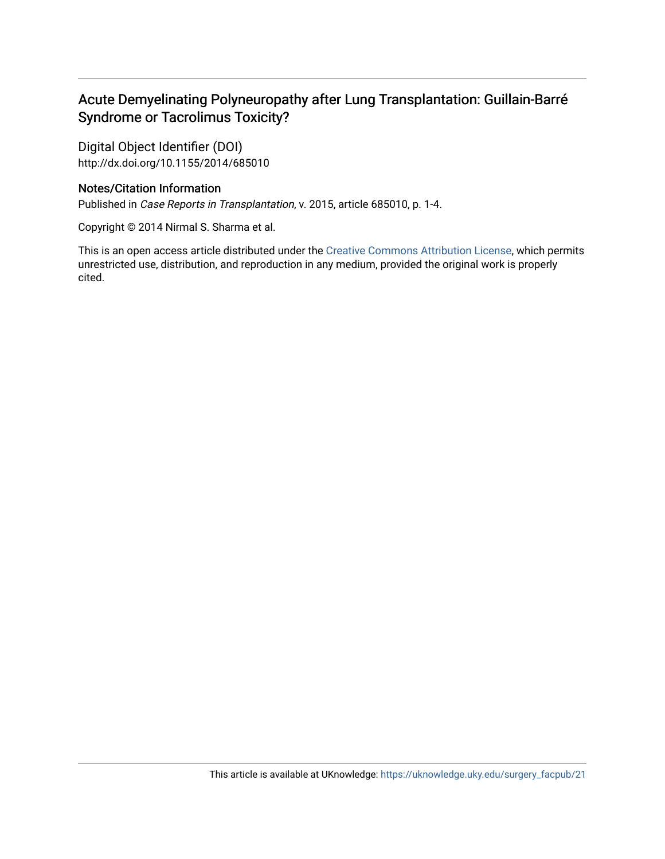## Acute Demyelinating Polyneuropathy after Lung Transplantation: Guillain-Barré Syndrome or Tacrolimus Toxicity?

Digital Object Identifier (DOI) http://dx.doi.org/10.1155/2014/685010

## Notes/Citation Information

Published in Case Reports in Transplantation, v. 2015, article 685010, p. 1-4.

Copyright © 2014 Nirmal S. Sharma et al.

This is an open access article distributed under the [Creative Commons Attribution License](http://creativecommons.org/licenses/by/3.0/), which permits unrestricted use, distribution, and reproduction in any medium, provided the original work is properly cited.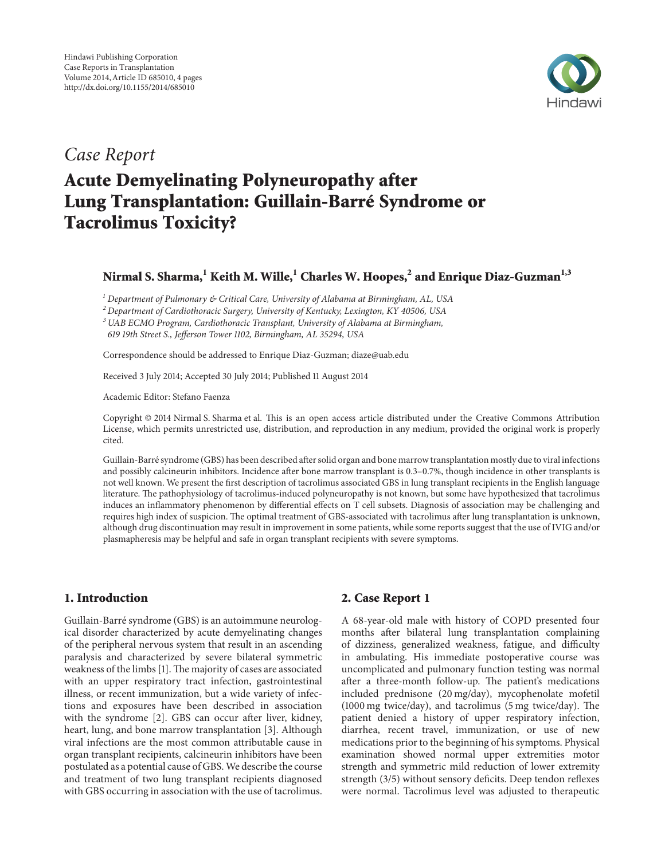

# *Case Report*

# **Acute Demyelinating Polyneuropathy after Lung Transplantation: Guillain-Barré Syndrome or Tacrolimus Toxicity?**

## **Nirmal S. Sharma,1 Keith M. Wille,1 Charles W. Hoopes,<sup>2</sup> and Enrique Diaz-Guzman1,3**

*<sup>1</sup> Department of Pulmonary & Critical Care, University of Alabama at Birmingham, AL, USA*

*<sup>2</sup> Department of Cardiothoracic Surgery, University of Kentucky, Lexington, KY 40506, USA*

*<sup>3</sup> UAB ECMO Program, Cardiothoracic Transplant, University of Alabama at Birmingham,*

*619 19th Street S., Jefferson Tower 1102, Birmingham, AL 35294, USA*

Correspondence should be addressed to Enrique Diaz-Guzman; diaze@uab.edu

Received 3 July 2014; Accepted 30 July 2014; Published 11 August 2014

Academic Editor: Stefano Faenza

Copyright © 2014 Nirmal S. Sharma et al. This is an open access article distributed under the Creative Commons Attribution License, which permits unrestricted use, distribution, and reproduction in any medium, provided the original work is properly cited.

Guillain-Barre syndrome (GBS) has been described after solid organ and bone marrow transplantation mostly due to viral infections ´ and possibly calcineurin inhibitors. Incidence after bone marrow transplant is 0.3–0.7%, though incidence in other transplants is not well known. We present the first description of tacrolimus associated GBS in lung transplant recipients in the English language literature. The pathophysiology of tacrolimus-induced polyneuropathy is not known, but some have hypothesized that tacrolimus induces an inflammatory phenomenon by differential effects on T cell subsets. Diagnosis of association may be challenging and requires high index of suspicion. The optimal treatment of GBS-associated with tacrolimus after lung transplantation is unknown, although drug discontinuation may result in improvement in some patients, while some reports suggest that the use of IVIG and/or plasmapheresis may be helpful and safe in organ transplant recipients with severe symptoms.

#### **1. Introduction**

Guillain-Barré syndrome (GBS) is an autoimmune neurological disorder characterized by acute demyelinating changes of the peripheral nervous system that result in an ascending paralysis and characterized by severe bilateral symmetric weakness of the limbs [1]. The majority of cases are associated with an upper respiratory tract infection, gastrointestinal illness, or recent immunization, but a wide variety of infections and exposures have been described in association with the syndrome [2]. GBS can occur after liver, kidney, heart, lung, and bone marrow transplantation [3]. Although viral infections are the most common attributable cause in organ transplant recipients, calcineurin inhibitors have been postulated as a potential cause of GBS. We describe the course and treatment of two lung transplant recipients diagnosed with GBS occurring in association with the use of tacrolimus.

#### **2. Case Report 1**

A 68-year-old male with history of COPD presented four months after bilateral lung transplantation complaining of dizziness, generalized weakness, fatigue, and difficulty in ambulating. His immediate postoperative course was uncomplicated and pulmonary function testing was normal after a three-month follow-up. The patient's medications included prednisone (20 mg/day), mycophenolate mofetil (1000 mg twice/day), and tacrolimus (5 mg twice/day). The patient denied a history of upper respiratory infection, diarrhea, recent travel, immunization, or use of new medications prior to the beginning of his symptoms. Physical examination showed normal upper extremities motor strength and symmetric mild reduction of lower extremity strength (3/5) without sensory deficits. Deep tendon reflexes were normal. Tacrolimus level was adjusted to therapeutic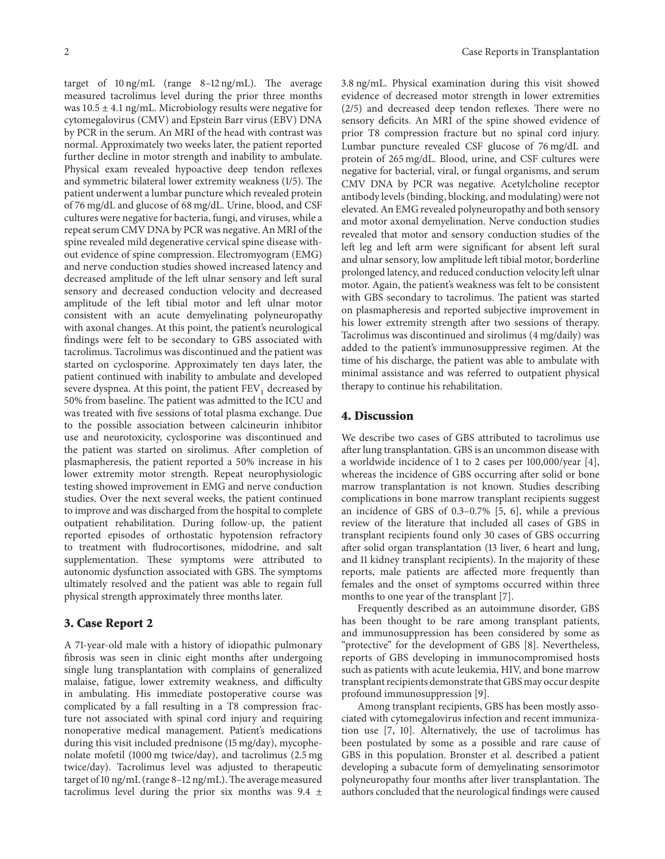target of 10 ng/mL (range 8–12 ng/mL). The average measured tacrolimus level during the prior three months was  $10.5 \pm 4.1$  ng/mL. Microbiology results were negative for cytomegalovirus (CMV) and Epstein Barr virus (EBV) DNA by PCR in the serum. An MRI of the head with contrast was normal. Approximately two weeks later, the patient reported further decline in motor strength and inability to ambulate. Physical exam revealed hypoactive deep tendon reflexes and symmetric bilateral lower extremity weakness (1/5). The patient underwent a lumbar puncture which revealed protein of 76 mg/dL and glucose of 68 mg/dL. Urine, blood, and CSF cultures were negative for bacteria, fungi, and viruses, while a repeat serum CMV DNA by PCR was negative. An MRI of the spine revealed mild degenerative cervical spine disease without evidence of spine compression. Electromyogram (EMG) and nerve conduction studies showed increased latency and decreased amplitude of the left ulnar sensory and left sural sensory and decreased conduction velocity and decreased amplitude of the left tibial motor and left ulnar motor consistent with an acute demyelinating polyneuropathy with axonal changes. At this point, the patient's neurological findings were felt to be secondary to GBS associated with tacrolimus. Tacrolimus was discontinued and the patient was started on cyclosporine. Approximately ten days later, the patient continued with inability to ambulate and developed severe dyspnea. At this point, the patient  $FEV<sub>1</sub>$  decreased by 50% from baseline. The patient was admitted to the ICU and was treated with five sessions of total plasma exchange. Due to the possible association between calcineurin inhibitor use and neurotoxicity, cyclosporine was discontinued and the patient was started on sirolimus. After completion of plasmapheresis, the patient reported a 50% increase in his lower extremity motor strength. Repeat neurophysiologic testing showed improvement in EMG and nerve conduction studies. Over the next several weeks, the patient continued to improve and was discharged from the hospital to complete outpatient rehabilitation. During follow-up, the patient reported episodes of orthostatic hypotension refractory to treatment with fludrocortisones, midodrine, and salt supplementation. These symptoms were attributed to autonomic dysfunction associated with GBS. The symptoms ultimately resolved and the patient was able to regain full physical strength approximately three months later.

#### **3. Case Report 2**

A 71-year-old male with a history of idiopathic pulmonary fibrosis was seen in clinic eight months after undergoing single lung transplantation with complains of generalized malaise, fatigue, lower extremity weakness, and difficulty in ambulating. His immediate postoperative course was complicated by a fall resulting in a T8 compression fracture not associated with spinal cord injury and requiring nonoperative medical management. Patient's medications during this visit included prednisone (15 mg/day), mycophenolate mofetil (1000 mg twice/day), and tacrolimus (2.5 mg twice/day). Tacrolimus level was adjusted to therapeutic target of 10 ng/mL (range  $8-12$  ng/mL). The average measured tacrolimus level during the prior six months was  $9.4 \pm$  3.8 ng/mL. Physical examination during this visit showed evidence of decreased motor strength in lower extremities (2/5) and decreased deep tendon reflexes. There were no sensory deficits. An MRI of the spine showed evidence of prior T8 compression fracture but no spinal cord injury. Lumbar puncture revealed CSF glucose of 76 mg/dL and protein of 265 mg/dL. Blood, urine, and CSF cultures were negative for bacterial, viral, or fungal organisms, and serum CMV DNA by PCR was negative. Acetylcholine receptor antibody levels (binding, blocking, and modulating) were not elevated. An EMG revealed polyneuropathy and both sensory and motor axonal demyelination. Nerve conduction studies revealed that motor and sensory conduction studies of the left leg and left arm were significant for absent left sural and ulnar sensory, low amplitude left tibial motor, borderline prolonged latency, and reduced conduction velocity left ulnar motor. Again, the patient's weakness was felt to be consistent with GBS secondary to tacrolimus. The patient was started on plasmapheresis and reported subjective improvement in his lower extremity strength after two sessions of therapy. Tacrolimus was discontinued and sirolimus (4 mg/daily) was added to the patient's immunosuppressive regimen. At the time of his discharge, the patient was able to ambulate with minimal assistance and was referred to outpatient physical therapy to continue his rehabilitation.

#### **4. Discussion**

We describe two cases of GBS attributed to tacrolimus use after lung transplantation. GBS is an uncommon disease with a worldwide incidence of 1 to 2 cases per 100,000/year [4], whereas the incidence of GBS occurring after solid or bone marrow transplantation is not known. Studies describing complications in bone marrow transplant recipients suggest an incidence of GBS of 0.3–0.7% [5, 6], while a previous review of the literature that included all cases of GBS in transplant recipients found only 30 cases of GBS occurring after solid organ transplantation (13 liver, 6 heart and lung, and 11 kidney transplant recipients). In the majority of these reports, male patients are affected more frequently than females and the onset of symptoms occurred within three months to one year of the transplant [7].

Frequently described as an autoimmune disorder, GBS has been thought to be rare among transplant patients, and immunosuppression has been considered by some as "protective" for the development of GBS [8]. Nevertheless, reports of GBS developing in immunocompromised hosts such as patients with acute leukemia, HIV, and bone marrow transplant recipients demonstrate that GBS may occur despite profound immunosuppression [9].

Among transplant recipients, GBS has been mostly associated with cytomegalovirus infection and recent immunization use [7, 10]. Alternatively, the use of tacrolimus has been postulated by some as a possible and rare cause of GBS in this population. Bronster et al. described a patient developing a subacute form of demyelinating sensorimotor polyneuropathy four months after liver transplantation. The authors concluded that the neurological findings were caused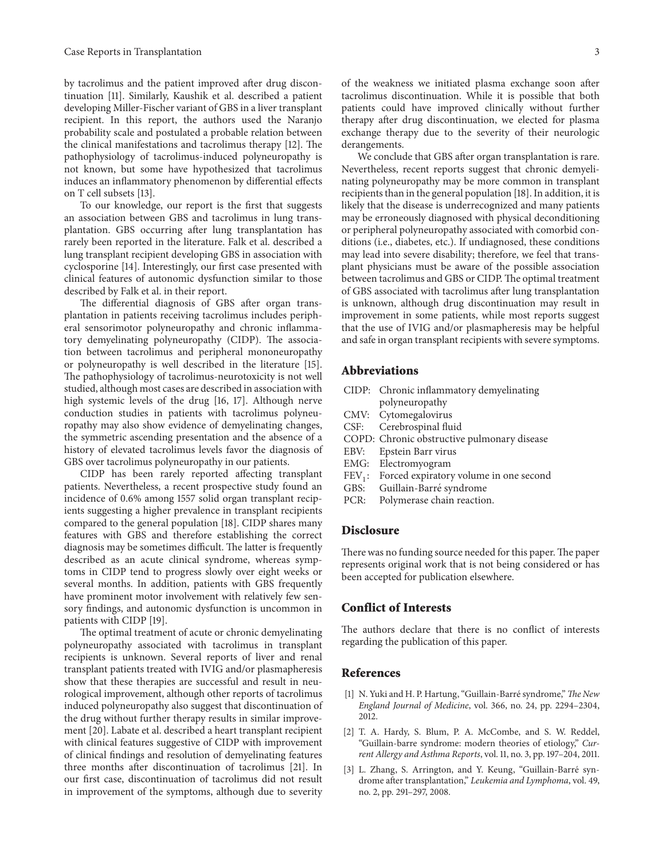by tacrolimus and the patient improved after drug discontinuation [11]. Similarly, Kaushik et al. described a patient developing Miller-Fischer variant of GBS in a liver transplant recipient. In this report, the authors used the Naranjo probability scale and postulated a probable relation between the clinical manifestations and tacrolimus therapy [12]. The pathophysiology of tacrolimus-induced polyneuropathy is not known, but some have hypothesized that tacrolimus induces an inflammatory phenomenon by differential effects on T cell subsets [13].

To our knowledge, our report is the first that suggests an association between GBS and tacrolimus in lung transplantation. GBS occurring after lung transplantation has rarely been reported in the literature. Falk et al. described a lung transplant recipient developing GBS in association with cyclosporine [14]. Interestingly, our first case presented with clinical features of autonomic dysfunction similar to those described by Falk et al. in their report.

The differential diagnosis of GBS after organ transplantation in patients receiving tacrolimus includes peripheral sensorimotor polyneuropathy and chronic inflammatory demyelinating polyneuropathy (CIDP). The association between tacrolimus and peripheral mononeuropathy or polyneuropathy is well described in the literature [15]. The pathophysiology of tacrolimus-neurotoxicity is not well studied, although most cases are described in association with high systemic levels of the drug [16, 17]. Although nerve conduction studies in patients with tacrolimus polyneuropathy may also show evidence of demyelinating changes, the symmetric ascending presentation and the absence of a history of elevated tacrolimus levels favor the diagnosis of GBS over tacrolimus polyneuropathy in our patients.

CIDP has been rarely reported affecting transplant patients. Nevertheless, a recent prospective study found an incidence of 0.6% among 1557 solid organ transplant recipients suggesting a higher prevalence in transplant recipients compared to the general population [18]. CIDP shares many features with GBS and therefore establishing the correct diagnosis may be sometimes difficult. The latter is frequently described as an acute clinical syndrome, whereas symptoms in CIDP tend to progress slowly over eight weeks or several months. In addition, patients with GBS frequently have prominent motor involvement with relatively few sensory findings, and autonomic dysfunction is uncommon in patients with CIDP [19].

The optimal treatment of acute or chronic demyelinating polyneuropathy associated with tacrolimus in transplant recipients is unknown. Several reports of liver and renal transplant patients treated with IVIG and/or plasmapheresis show that these therapies are successful and result in neurological improvement, although other reports of tacrolimus induced polyneuropathy also suggest that discontinuation of the drug without further therapy results in similar improvement [20]. Labate et al. described a heart transplant recipient with clinical features suggestive of CIDP with improvement of clinical findings and resolution of demyelinating features three months after discontinuation of tacrolimus [21]. In our first case, discontinuation of tacrolimus did not result in improvement of the symptoms, although due to severity of the weakness we initiated plasma exchange soon after tacrolimus discontinuation. While it is possible that both patients could have improved clinically without further therapy after drug discontinuation, we elected for plasma exchange therapy due to the severity of their neurologic derangements.

We conclude that GBS after organ transplantation is rare. Nevertheless, recent reports suggest that chronic demyelinating polyneuropathy may be more common in transplant recipients than in the general population [18]. In addition, it is likely that the disease is underrecognized and many patients may be erroneously diagnosed with physical deconditioning or peripheral polyneuropathy associated with comorbid conditions (i.e., diabetes, etc.). If undiagnosed, these conditions may lead into severe disability; therefore, we feel that transplant physicians must be aware of the possible association between tacrolimus and GBS or CIDP. The optimal treatment of GBS associated with tacrolimus after lung transplantation is unknown, although drug discontinuation may result in improvement in some patients, while most reports suggest that the use of IVIG and/or plasmapheresis may be helpful and safe in organ transplant recipients with severe symptoms.

#### **Abbreviations**

- CIDP: Chronic inflammatory demyelinating
- polyneuropathy
- CMV: Cytomegalovirus
- CSF: Cerebrospinal fluid
- COPD: Chronic obstructive pulmonary disease
- EBV: Epstein Barr virus
- EMG: Electromyogram
- $FEV<sub>1</sub>$ : Forced expiratory volume in one second GBS: Guillain-Barré syndrome
- Guillain-Barré syndrome
- PCR: Polymerase chain reaction.

#### **Disclosure**

There was no funding source needed for this paper. The paper represents original work that is not being considered or has been accepted for publication elsewhere.

#### **Conflict of Interests**

The authors declare that there is no conflict of interests regarding the publication of this paper.

#### **References**

- [1] N. Yuki and H. P. Hartung, "Guillain-Barré syndrome," The New *England Journal of Medicine*, vol. 366, no. 24, pp. 2294–2304, 2012.
- [2] T. A. Hardy, S. Blum, P. A. McCombe, and S. W. Reddel, "Guillain-barre syndrome: modern theories of etiology," *Current Allergy and Asthma Reports*, vol. 11, no. 3, pp. 197–204, 2011.
- [3] L. Zhang, S. Arrington, and Y. Keung, "Guillain-Barré syndrome after transplantation," *Leukemia and Lymphoma*, vol. 49, no. 2, pp. 291–297, 2008.